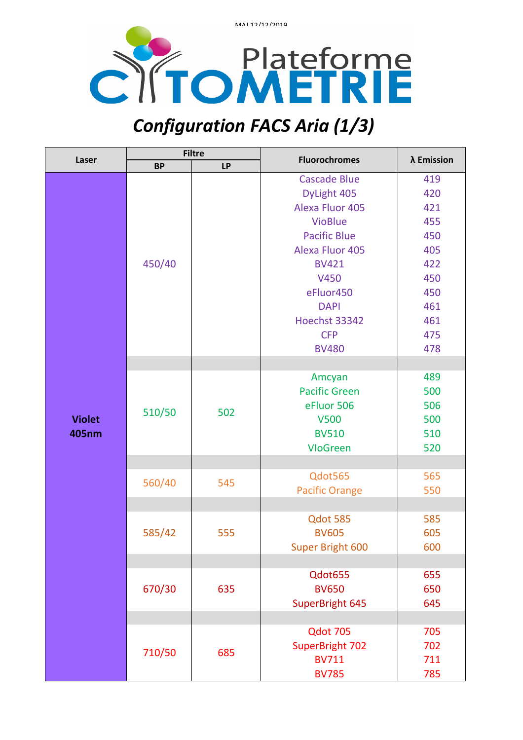



## *Configuration FACS Aria (1/3)*

| Laser         | <b>Filtre</b> |           | <b>Fluorochromes</b>    | λ Emission |
|---------------|---------------|-----------|-------------------------|------------|
|               | <b>BP</b>     | <b>LP</b> |                         |            |
|               |               |           | <b>Cascade Blue</b>     | 419        |
|               |               |           | DyLight 405             | 420        |
|               | 450/40        |           | <b>Alexa Fluor 405</b>  | 421        |
|               |               |           | <b>VioBlue</b>          | 455        |
|               |               |           | <b>Pacific Blue</b>     | 450        |
|               |               |           | <b>Alexa Fluor 405</b>  | 405        |
|               |               |           | <b>BV421</b>            | 422        |
|               |               |           | V450                    | 450        |
|               |               |           | eFluor450               | 450        |
|               |               |           | <b>DAPI</b>             | 461        |
|               |               |           | <b>Hoechst 33342</b>    | 461        |
|               |               |           | <b>CFP</b>              | 475        |
|               |               |           | <b>BV480</b>            | 478        |
|               |               |           |                         |            |
|               |               | 502       | Amcyan                  | 489        |
|               | 510/50        |           | <b>Pacific Green</b>    | 500        |
|               |               |           | eFluor 506              | 506        |
| <b>Violet</b> |               |           | <b>V500</b>             | 500        |
| <b>405nm</b>  |               |           | <b>BV510</b>            | 510        |
|               |               |           | <b>VloGreen</b>         | 520        |
|               |               |           |                         |            |
|               | 560/40        | 545       | Qdot565                 | 565        |
|               |               |           | <b>Pacific Orange</b>   | 550        |
|               |               |           |                         |            |
|               |               |           | Qdot 585                | 585        |
|               | 585/42        | 555       | <b>BV605</b>            | 605        |
|               |               |           | <b>Super Bright 600</b> | 600        |
|               |               |           |                         |            |
|               | 670/30        | 635       | Qdot655                 | 655        |
|               |               |           | <b>BV650</b>            | 650        |
|               |               |           | SuperBright 645         | 645        |
|               |               |           |                         |            |
|               | 710/50        |           | Qdot 705                | 705        |
|               |               | 685       | SuperBright 702         | 702        |
|               |               |           | <b>BV711</b>            | 711        |
|               |               |           | <b>BV785</b>            | 785        |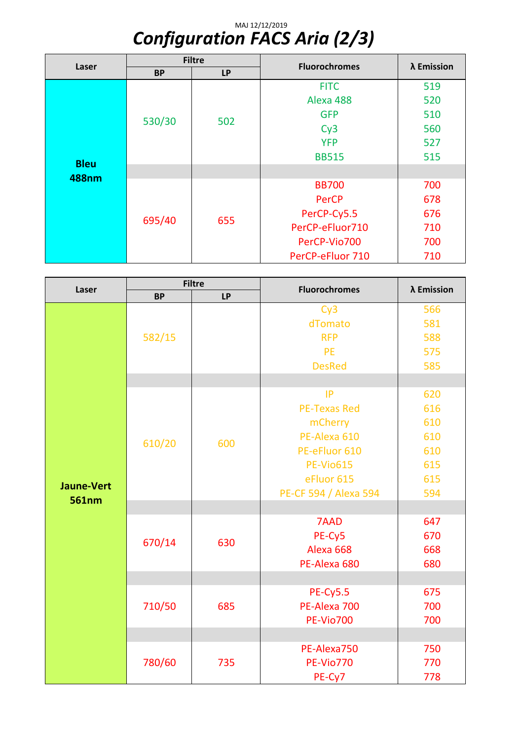## MAJ 12/12/2019 *Configuration FACS Aria (2/3)*

| Laser                       | <b>Filtre</b> |           | <b>Fluorochromes</b> | λ Emission |
|-----------------------------|---------------|-----------|----------------------|------------|
|                             | <b>BP</b>     | <b>LP</b> |                      |            |
| <b>Bleu</b><br><b>488nm</b> | 530/30        | 502       | <b>FITC</b>          | 519        |
|                             |               |           | Alexa 488            | 520        |
|                             |               |           | <b>GFP</b>           | 510        |
|                             |               |           | Cy3                  | 560        |
|                             |               |           | <b>YFP</b>           | 527        |
|                             |               |           | <b>BB515</b>         | 515        |
|                             |               |           |                      |            |
|                             | 695/40        | 655       | <b>BB700</b>         | 700        |
|                             |               |           | <b>PerCP</b>         | 678        |
|                             |               |           | PerCP-Cy5.5          | 676        |
|                             |               |           | PerCP-eFluor710      | 710        |
|                             |               |           | PerCP-Vio700         | 700        |
|                             |               |           | PerCP-eFluor 710     | 710        |

| Laser                             | <b>Filtre</b> |           | <b>Fluorochromes</b>  | λ Emission |
|-----------------------------------|---------------|-----------|-----------------------|------------|
|                                   | <b>BP</b>     | <b>LP</b> |                       |            |
|                                   | 582/15        |           | Cy3                   | 566        |
|                                   |               |           | dTomato               | 581        |
|                                   |               |           | <b>RFP</b>            | 588        |
|                                   |               |           | <b>PE</b>             | 575        |
|                                   |               |           | <b>DesRed</b>         | 585        |
|                                   |               |           |                       |            |
|                                   |               |           | IP                    | 620        |
|                                   |               |           | <b>PE-Texas Red</b>   | 616        |
|                                   |               |           | mCherry               | 610        |
|                                   |               | 600       | PE-Alexa 610          | 610        |
|                                   | 610/20        |           | PE-eFluor 610         | 610        |
|                                   |               |           | <b>PE-Vio615</b>      | 615        |
|                                   |               |           | eFluor 615            | 615        |
| <b>Jaune-Vert</b><br><b>561nm</b> |               |           | PE-CF 594 / Alexa 594 | 594        |
|                                   |               |           |                       |            |
|                                   | 670/14        | 630       | 7AAD                  | 647        |
|                                   |               |           | PE-Cy5                | 670        |
|                                   |               |           | Alexa 668             | 668        |
|                                   |               |           | PE-Alexa 680          | 680        |
|                                   |               |           |                       |            |
|                                   | 710/50        | 685       | <b>PE-Cy5.5</b>       | 675        |
|                                   |               |           | PE-Alexa 700          | 700        |
|                                   |               |           | <b>PE-Vio700</b>      | 700        |
|                                   |               |           |                       |            |
|                                   | 780/60        | 735       | PE-Alexa750           | 750        |
|                                   |               |           | <b>PE-Vio770</b>      | 770        |
|                                   |               |           | PE-Cy7                | 778        |